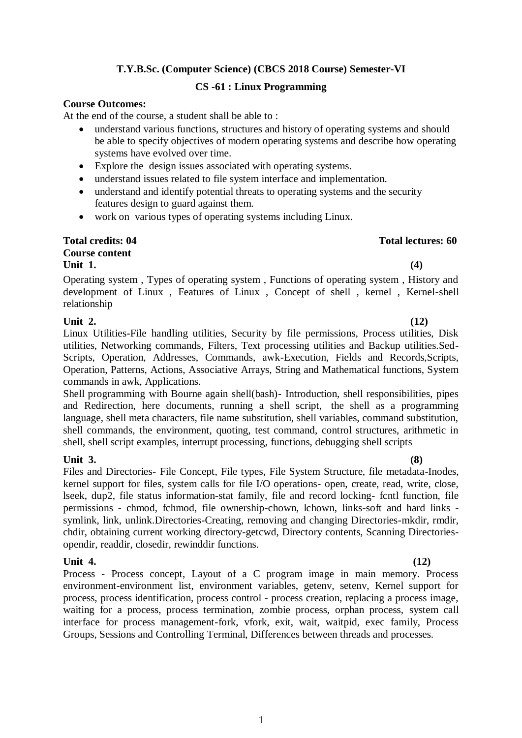### **CS -61 : Linux Programming**

### **Course Outcomes:**

At the end of the course, a student shall be able to :

- understand various functions, structures and history of operating systems and should be able to specify objectives of modern operating systems and describe how operating systems have evolved over time.
- Explore the design issues associated with operating systems.
- understand issues related to file system interface and implementation.
- understand and identify potential threats to operating systems and the security features design to guard against them.
- work on various types of operating systems including Linux.

#### **Total credits: 04 Total lectures: 60 Course content Unit 1. (4)**

Operating system , Types of operating system , Functions of operating system , History and development of Linux , Features of Linux , Concept of shell , kernel , Kernel-shell relationship

**Unit 2. (12)**  Linux Utilities-File handling utilities, Security by file permissions, Process utilities, Disk utilities, Networking commands, Filters, Text processing utilities and Backup utilities.Sed-Scripts, Operation, Addresses, Commands, awk-Execution, Fields and Records,Scripts, Operation, Patterns, Actions, Associative Arrays, String and Mathematical functions, System commands in awk, Applications.

Shell programming with Bourne again shell(bash)- Introduction, shell responsibilities, pipes and Redirection, here documents, running a shell script, the shell as a programming language, shell meta characters, file name substitution, shell variables, command substitution, shell commands, the environment, quoting, test command, control structures, arithmetic in shell, shell script examples, interrupt processing, functions, debugging shell scripts

### **Unit 3. (8)**

Files and Directories- File Concept, File types, File System Structure, file metadata-Inodes, kernel support for files, system calls for file I/O operations- open, create, read, write, close, lseek, dup2, file status information-stat family, file and record locking- fcntl function, file permissions - chmod, fchmod, file ownership-chown, lchown, links-soft and hard links symlink, link, unlink.Directories-Creating, removing and changing Directories-mkdir, rmdir, chdir, obtaining current working directory-getcwd, Directory contents, Scanning Directoriesopendir, readdir, closedir, rewinddir functions.

**Unit 4. (12)** Process - Process concept, Layout of a C program image in main memory. Process environment-environment list, environment variables, getenv, setenv, Kernel support for process, process identification, process control - process creation, replacing a process image, waiting for a process, process termination, zombie process, orphan process, system call interface for process management-fork, vfork, exit, wait, waitpid, exec family, Process Groups, Sessions and Controlling Terminal, Differences between threads and processes.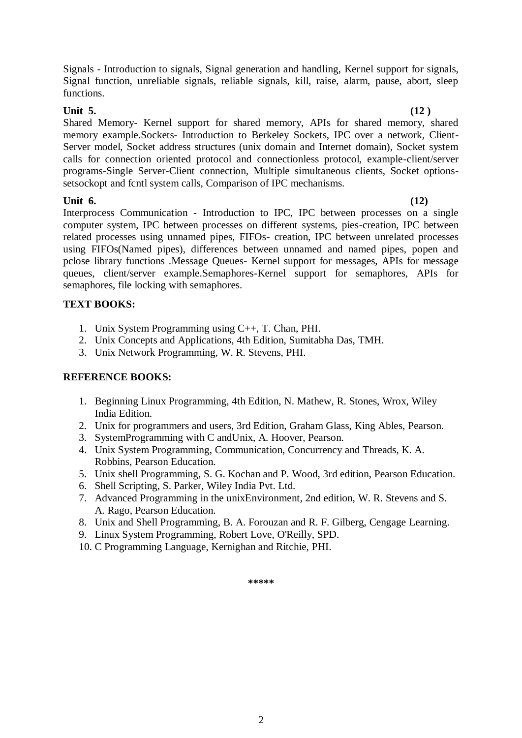Signals - Introduction to signals, Signal generation and handling, Kernel support for signals, Signal function, unreliable signals, reliable signals, kill, raise, alarm, pause, abort, sleep functions.

#### **Unit 5. (12 )**

Shared Memory- Kernel support for shared memory, APIs for shared memory, shared memory example.Sockets- Introduction to Berkeley Sockets, IPC over a network, Client-Server model, Socket address structures (unix domain and Internet domain), Socket system calls for connection oriented protocol and connectionless protocol, example-client/server programs-Single Server-Client connection, Multiple simultaneous clients, Socket optionssetsockopt and fcntl system calls, Comparison of IPC mechanisms.

**Unit 6. (12)** Interprocess Communication - Introduction to IPC, IPC between processes on a single computer system, IPC between processes on different systems, pies-creation, IPC between related processes using unnamed pipes, FIFOs- creation, IPC between unrelated processes using FIFOs(Named pipes), differences between unnamed and named pipes, popen and pclose library functions .Message Queues- Kernel support for messages, APIs for message queues, client/server example.Semaphores-Kernel support for semaphores, APIs for semaphores, file locking with semaphores.

### **TEXT BOOKS:**

- 1. Unix System Programming using C++, T. Chan, PHI.
- 2. Unix Concepts and Applications, 4th Edition, Sumitabha Das, TMH.
- 3. Unix Network Programming, W. R. Stevens, PHI.

# **REFERENCE BOOKS:**

- 1. Beginning Linux Programming, 4th Edition, N. Mathew, R. Stones, Wrox, Wiley India Edition.
- 2. Unix for programmers and users, 3rd Edition, Graham Glass, King Ables, Pearson.
- 3. SystemProgramming with C andUnix, A. Hoover, Pearson.
- 4. Unix System Programming, Communication, Concurrency and Threads, K. A. Robbins, Pearson Education.
- 5. Unix shell Programming, S. G. Kochan and P. Wood, 3rd edition, Pearson Education.
- 6. Shell Scripting, S. Parker, Wiley India Pvt. Ltd.
- 7. Advanced Programming in the unixEnvironment, 2nd edition, W. R. Stevens and S. A. Rago, Pearson Education.
- 8. Unix and Shell Programming, B. A. Forouzan and R. F. Gilberg, Cengage Learning.
- 9. Linux System Programming, Robert Love, O'Reilly, SPD.
- 10. C Programming Language, Kernighan and Ritchie, PHI.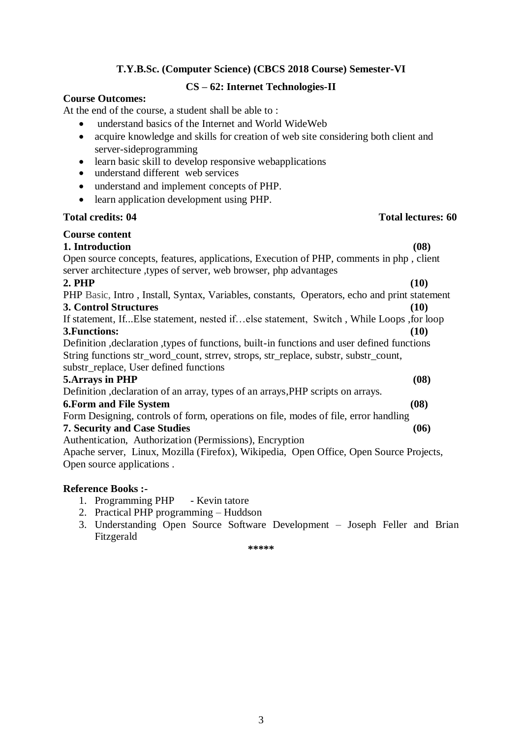#### **CS – 62: Internet Technologies-II**

#### **Course Outcomes:**

At the end of the course, a student shall be able to :

- understand basics of the Internet and World WideWeb
- acquire knowledge and skills for creation of web site considering both client and server-sideprogramming
- learn basic skill to develop responsive webapplications
- understand different web services
- understand and implement concepts of PHP.
- learn application development using PHP.

#### **Total credits: 04 Total lectures: 60**

### **Course content**

**1. Introduction (08)**

Open source concepts, features, applications, Execution of PHP, comments in php , client server architecture ,types of server, web browser, php advantages

### **2. PHP (10)**

PHP Basic, [Intro](http://www.w3schools.com/PHP/php_intro.asp) , [Install,](http://www.w3schools.com/PHP/php_install.asp) [Syntax,](http://www.w3schools.com/PHP/php_syntax.asp) [Variables,](http://www.w3schools.com/PHP/php_variables.asp) [constants, Operators,](http://www.w3schools.com/PHP/php_string.asp) echo and print statement **3. Control Structures (10)**

If statement, [If...Else](http://www.w3schools.com/PHP/php_if_else.asp) statement, [nested if…else statement, Switch](http://www.w3schools.com/PHP/php_switch.asp) , [While Loops](http://www.w3schools.com/PHP/php_looping.asp) [,for](http://www.w3schools.com/PHP/php_looping_for.asp) loop **3.Functions: (10)**

Definition ,declaration ,types of functions, built-in functions and user defined functions String functions str\_word\_count, strrev, strops, str\_replace, substr, substr\_count, substr\_replace, User defined functions

#### **5.Arrays in PHP (08)**

Definition ,declaration of an array, types of an arrays,PHP scripts on arrays.

#### **6[.Form](http://www.w3schools.com/PHP/php_forms.asp) and File System (08)**

Form Designing, controls of form, operations on file, modes of file, error handling

#### **7. Security and Case Studies (06)**

Authentication, Authorization (Permissions), Encryption

Apache server, Linux, Mozilla (Firefox), Wikipedia, Open Office, Open Source Projects, Open source applications .

#### **Reference Books :-**

- 1. Programming PHP Kevin tatore
- 2. Practical PHP programming Huddson
- 3. Understanding Open Source Software Development Joseph Feller and Brian Fitzgerald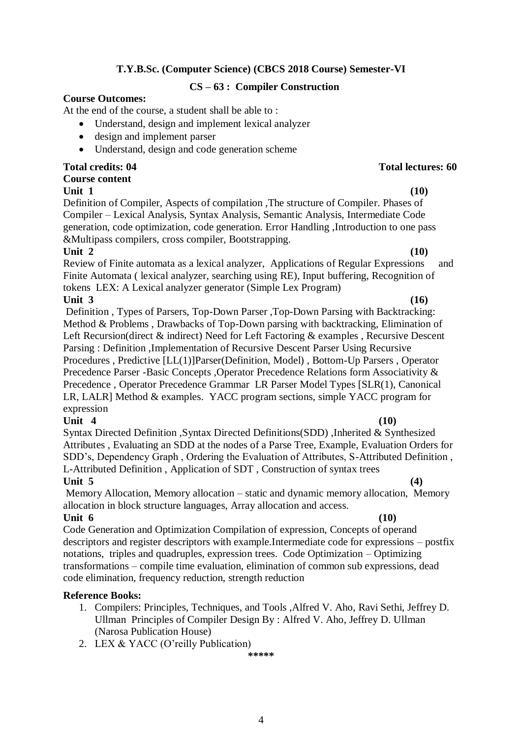#### **CS – 63 : Compiler Construction**

#### **Course Outcomes:**

At the end of the course, a student shall be able to :

- Understand, design and implement lexical analyzer
- design and implement parser
- Understand, design and code generation scheme

#### **Total credits: 04** Total lectures: 60

#### **Course content**

**Unit 1 (10)** Definition of Compiler, Aspects of compilation ,The structure of Compiler. Phases of Compiler – Lexical Analysis, Syntax Analysis, Semantic Analysis, Intermediate Code generation, code optimization, code generation. Error Handling ,Introduction to one pass &Multipass compilers, cross compiler, Bootstrapping.

#### **Unit 2 (10)**

Review of Finite automata as a lexical analyzer, Applications of Regular Expressions and Finite Automata ( lexical analyzer, searching using RE), Input buffering, Recognition of tokens LEX: A Lexical analyzer generator (Simple Lex Program)

#### **Unit 3 (16)**

Definition , Types of Parsers, Top-Down Parser ,Top-Down Parsing with Backtracking: Method & Problems , Drawbacks of Top-Down parsing with backtracking, Elimination of Left Recursion(direct & indirect) Need for Left Factoring & examples , Recursive Descent Parsing : Definition ,Implementation of Recursive Descent Parser Using Recursive Procedures , Predictive [LL(1)]Parser(Definition, Model) , Bottom-Up Parsers , Operator Precedence Parser -Basic Concepts ,Operator Precedence Relations form Associativity & Precedence , Operator Precedence Grammar LR Parser Model Types [SLR(1), Canonical LR, LALR] Method & examples. YACC program sections, simple YACC program for expression

**Unit 4 (10)** Syntax Directed Definition ,Syntax Directed Definitions(SDD) ,Inherited & Synthesized Attributes , Evaluating an SDD at the nodes of a Parse Tree, Example, Evaluation Orders for SDD's, Dependency Graph , Ordering the Evaluation of Attributes, S-Attributed Definition , L-Attributed Definition , Application of SDT , Construction of syntax trees **Unit 5 (4)**

Memory Allocation, Memory allocation – static and dynamic memory allocation, Memory allocation in block structure languages, Array allocation and access.

#### **Unit 6 (10)**

Code Generation and Optimization Compilation of expression, Concepts of operand descriptors and register descriptors with example.Intermediate code for expressions – postfix notations, triples and quadruples, expression trees. Code Optimization – Optimizing transformations – compile time evaluation, elimination of common sub expressions, dead code elimination, frequency reduction, strength reduction

### **Reference Books:**

- 1. Compilers: Principles, Techniques, and Tools ,Alfred V. Aho, Ravi Sethi, Jeffrey D. Ullman Principles of Compiler Design By : Alfred V. Aho, Jeffrey D. Ullman (Narosa Publication House)
- 2. LEX & YACC (O'reilly Publication)

**\*\*\*\*\***

4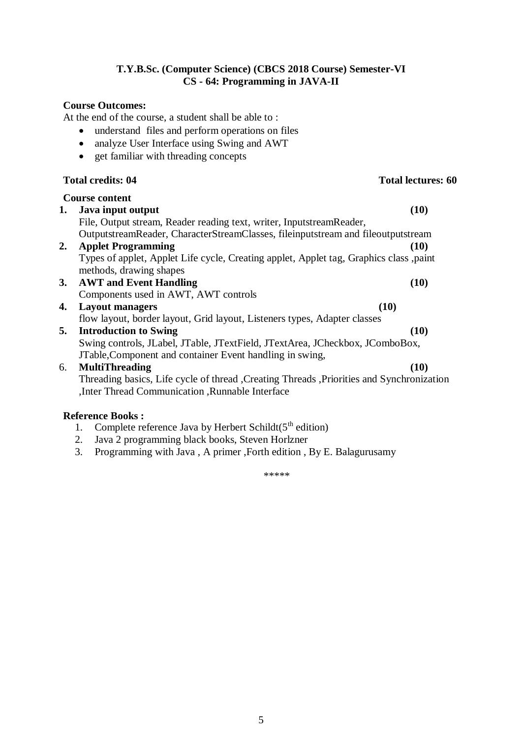#### **T.Y.B.Sc. (Computer Science) (CBCS 2018 Course) Semester-VI CS - 64: Programming in JAVA-II**

### **Course Outcomes:**

At the end of the course, a student shall be able to :

- understand files and perform operations on files
- analyze User Interface using Swing and AWT
- get familiar with threading concepts

#### **Total credits: 04 Total lectures: 60**

|    | <b>Course content</b>                                                                      |      |
|----|--------------------------------------------------------------------------------------------|------|
| 1. | Java input output                                                                          | (10) |
|    | File, Output stream, Reader reading text, writer, InputstreamReader,                       |      |
|    | OutputstreamReader, CharacterStreamClasses, fileinputstream and fileoutputstream           |      |
|    | 2. Applet Programming                                                                      | (10) |
|    | Types of applet, Applet Life cycle, Creating applet, Applet tag, Graphics class ,paint     |      |
|    | methods, drawing shapes                                                                    |      |
| 3. | <b>AWT</b> and Event Handling                                                              | (10) |
|    | Components used in AWT, AWT controls                                                       |      |
| 4. | <b>Layout managers</b><br>(10)                                                             |      |
|    | flow layout, border layout, Grid layout, Listeners types, Adapter classes                  |      |
| 5. | <b>Introduction to Swing</b>                                                               | (10) |
|    | Swing controls, JLabel, JTable, JTextField, JTextArea, JCheckbox, JComboBox,               |      |
|    | JTable, Component and container Event handling in swing,                                   |      |
| 6. | <b>MultiThreading</b>                                                                      | (10) |
|    | Threading basics, Life cycle of thread , Creating Threads , Priorities and Synchronization |      |
|    | ,Inter Thread Communication ,Runnable Interface                                            |      |
|    |                                                                                            |      |

#### **Reference Books :**

- 1. Complete reference Java by Herbert Schildt( $5<sup>th</sup>$  edition)
- 2. Java 2 programming black books, Steven Horlzner
- 3. Programming with Java , A primer ,Forth edition , By E. Balagurusamy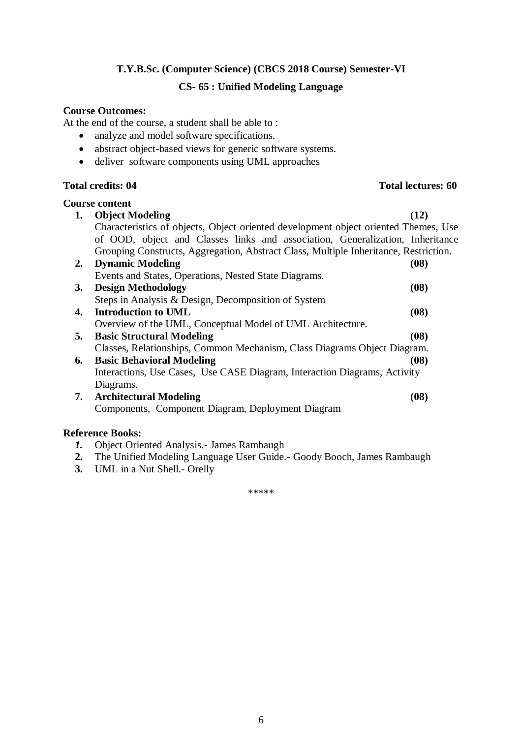# **T.Y.B.Sc. (Computer Science) (CBCS 2018 Course) Semester-VI CS- 65 : Unified Modeling Language**

#### **Course Outcomes:**

At the end of the course, a student shall be able to :

- analyze and model software specifications.
- abstract object-based views for generic software systems.
- deliver software components using UML approaches

#### **Total credits: 04** Total lectures: 60

#### **Course content**

| 1. | <b>Object Modeling</b>                                                               | (12) |
|----|--------------------------------------------------------------------------------------|------|
|    | Characteristics of objects, Object oriented development object oriented Themes, Use  |      |
|    | of OOD, object and Classes links and association, Generalization, Inheritance        |      |
|    | Grouping Constructs, Aggregation, Abstract Class, Multiple Inheritance, Restriction. |      |
| 2. | <b>Dynamic Modeling</b>                                                              | (08) |
|    | Events and States, Operations, Nested State Diagrams.                                |      |
| 3. | <b>Design Methodology</b>                                                            | (08) |
|    | Steps in Analysis & Design, Decomposition of System                                  |      |
| 4. | Introduction to UML                                                                  | (08) |
|    | Overview of the UML, Conceptual Model of UML Architecture.                           |      |
| 5. | <b>Basic Structural Modeling</b>                                                     | (08) |
|    | Classes, Relationships, Common Mechanism, Class Diagrams Object Diagram.             |      |
|    | <b>6.</b> Basic Behavioral Modeling                                                  | (08) |
|    | Interactions, Use Cases, Use CASE Diagram, Interaction Diagrams, Activity            |      |
|    | Diagrams.                                                                            |      |
| 7. | <b>Architectural Modeling</b>                                                        | (08) |
|    | Components, Component Diagram, Deployment Diagram                                    |      |
|    |                                                                                      |      |
|    | <b>Reference Books:</b>                                                              |      |

- *1.* Object Oriented Analysis.- James Rambaugh
- **2.** The Unified Modeling Language User Guide.- Goody Booch, James Rambaugh
- **3.** UML in a Nut Shell.- Orelly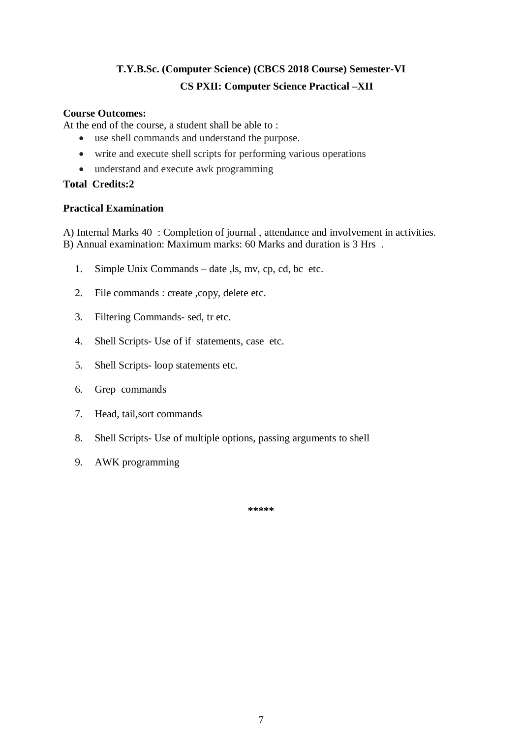# **T.Y.B.Sc. (Computer Science) (CBCS 2018 Course) Semester-VI CS PXII: Computer Science Practical –XII**

### **Course Outcomes:**

At the end of the course, a student shall be able to :

- use shell commands and understand the purpose.
- write and execute shell scripts for performing various operations
- understand and execute awk programming

### **Total Credits:2**

### **Practical Examination**

A) Internal Marks 40 : Completion of journal , attendance and involvement in activities. B) Annual examination: Maximum marks: 60 Marks and duration is 3 Hrs .

- 1. Simple Unix Commands date ,ls, mv, cp, cd, bc etc.
- 2. File commands : create ,copy, delete etc.
- 3. Filtering Commands- sed, tr etc.
- 4. Shell Scripts- Use of if statements, case etc.
- 5. Shell Scripts- loop statements etc.
- 6. Grep commands
- 7. Head, tail,sort commands
- 8. Shell Scripts- Use of multiple options, passing arguments to shell
- 9. AWK programming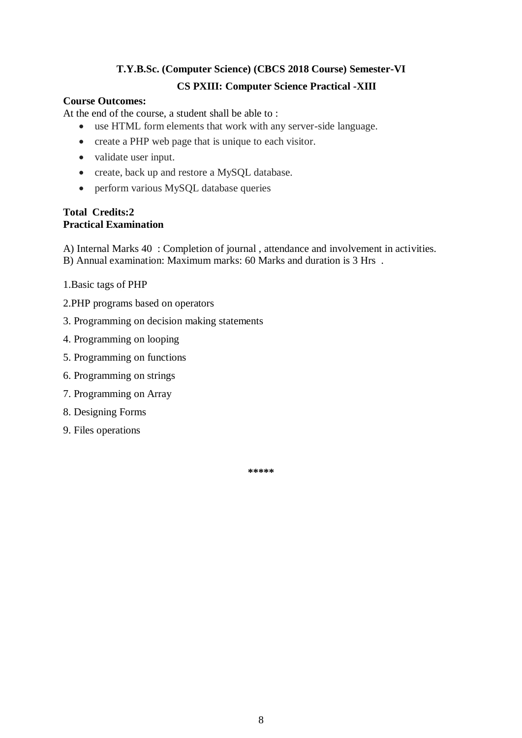# **T.Y.B.Sc. (Computer Science) (CBCS 2018 Course) Semester-VI CS PXIII: Computer Science Practical -XIII**

### **Course Outcomes:**

At the end of the course, a student shall be able to :

- use HTML form elements that work with any server-side language.
- create a PHP web page that is unique to each visitor.
- validate user input.
- create, back up and restore a MySQL database.
- perform various MySQL database queries

#### **Total Credits:2 Practical Examination**

A) Internal Marks 40 : Completion of journal , attendance and involvement in activities. B) Annual examination: Maximum marks: 60 Marks and duration is 3 Hrs .

- 1.Basic tags of PHP
- 2.PHP programs based on operators
- 3. Programming on decision making statements
- 4. Programming on looping
- 5. Programming on functions
- 6. Programming on strings
- 7. Programming on Array
- 8. Designing Forms
- 9. Files operations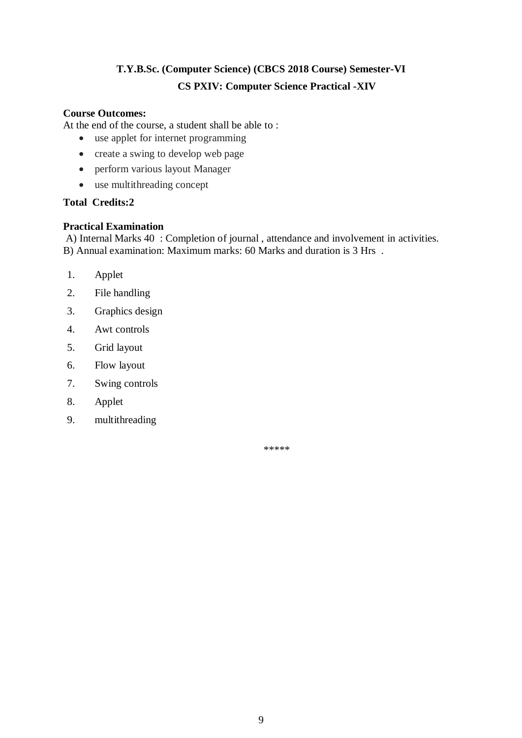# **T.Y.B.Sc. (Computer Science) (CBCS 2018 Course) Semester-VI CS PXIV: Computer Science Practical -XIV**

### **Course Outcomes:**

At the end of the course, a student shall be able to :

- use applet for internet programming
- create a swing to develop web page
- perform various layout Manager
- use multithreading concept

### **Total Credits:2**

### **Practical Examination**

A) Internal Marks 40 : Completion of journal , attendance and involvement in activities. B) Annual examination: Maximum marks: 60 Marks and duration is 3 Hrs .

- 1. Applet
- 2. File handling
- 3. Graphics design
- 4. Awt controls
- 5. Grid layout
- 6. Flow layout
- 7. Swing controls
- 8. Applet
- 9. multithreading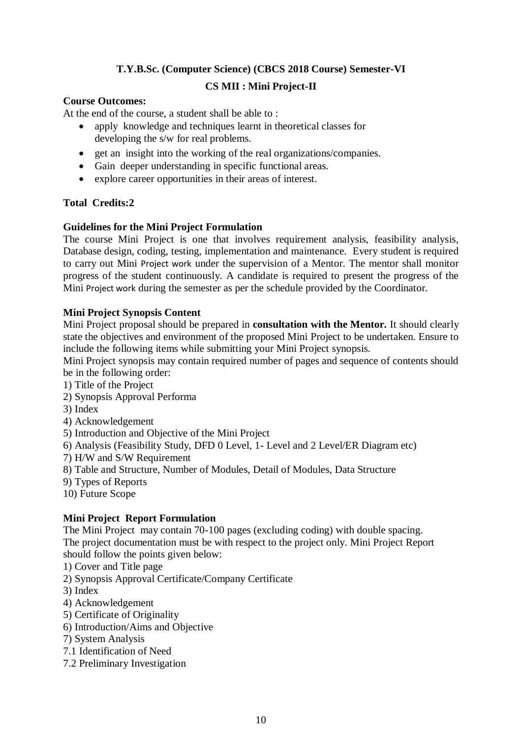# **T.Y.B.Sc. (Computer Science) (CBCS 2018 Course) Semester-VI CS MII : Mini Project-II**

### **Course Outcomes:**

At the end of the course, a student shall be able to :

- apply knowledge and techniques learnt in theoretical classes for developing the s/w for real problems.
- get an insight into the working of the real organizations/companies.
- Gain deeper understanding in specific functional areas.
- explore career opportunities in their areas of interest.

### **Total Credits:2**

### **Guidelines for the Mini Project Formulation**

The course Mini Project is one that involves requirement analysis, feasibility analysis, Database design, coding, testing, implementation and maintenance. Every student is required to carry out Mini Project work under the supervision of a Mentor. The mentor shall monitor progress of the student continuously. A candidate is required to present the progress of the Mini Project work during the semester as per the schedule provided by the Coordinator.

### **Mini Project Synopsis Content**

Mini Project proposal should be prepared in **consultation with the Mentor.** It should clearly state the objectives and environment of the proposed Mini Project to be undertaken. Ensure to include the following items while submitting your Mini Project synopsis.

Mini Project synopsis may contain required number of pages and sequence of contents should be in the following order:

- 1) Title of the Project
- 2) Synopsis Approval Performa
- 3) Index
- 4) Acknowledgement
- 5) Introduction and Objective of the Mini Project
- 6) Analysis (Feasibility Study, DFD 0 Level, 1- Level and 2 Level/ER Diagram etc)
- 7) H/W and S/W Requirement
- 8) Table and Structure, Number of Modules, Detail of Modules, Data Structure
- 9) Types of Reports
- 10) Future Scope

### **Mini Project Report Formulation**

The Mini Project may contain 70-100 pages (excluding coding) with double spacing. The project documentation must be with respect to the project only. Mini Project Report should follow the points given below:

- 1) Cover and Title page
- 2) Synopsis Approval Certificate/Company Certificate
- 3) Index
- 4) Acknowledgement
- 5) Certificate of Originality
- 6) Introduction/Aims and Objective
- 7) System Analysis
- 7.1 Identification of Need
- 7.2 Preliminary Investigation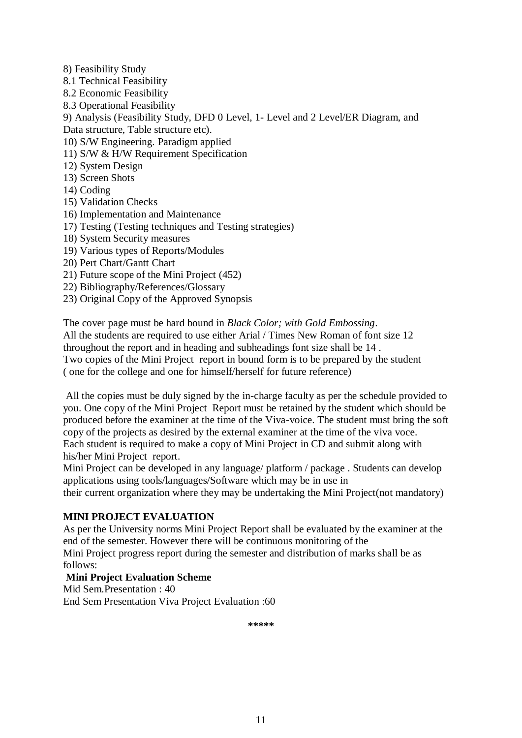8) Feasibility Study

- 8.1 Technical Feasibility
- 8.2 Economic Feasibility
- 8.3 Operational Feasibility

9) Analysis (Feasibility Study, DFD 0 Level, 1- Level and 2 Level/ER Diagram, and Data structure, Table structure etc).

- 10) S/W Engineering. Paradigm applied
- 11) S/W & H/W Requirement Specification
- 12) System Design
- 13) Screen Shots
- 14) Coding
- 15) Validation Checks
- 16) Implementation and Maintenance
- 17) Testing (Testing techniques and Testing strategies)
- 18) System Security measures
- 19) Various types of Reports/Modules
- 20) Pert Chart/Gantt Chart
- 21) Future scope of the Mini Project (452)
- 22) Bibliography/References/Glossary
- 23) Original Copy of the Approved Synopsis

The cover page must be hard bound in *Black Color; with Gold Embossing*. All the students are required to use either Arial / Times New Roman of font size 12 throughout the report and in heading and subheadings font size shall be 14 . Two copies of the Mini Project report in bound form is to be prepared by the student ( one for the college and one for himself/herself for future reference)

All the copies must be duly signed by the in-charge faculty as per the schedule provided to you. One copy of the Mini Project Report must be retained by the student which should be produced before the examiner at the time of the Viva-voice. The student must bring the soft copy of the projects as desired by the external examiner at the time of the viva voce. Each student is required to make a copy of Mini Project in CD and submit along with his/her Mini Project report.

Mini Project can be developed in any language/ platform / package . Students can develop applications using tools/languages/Software which may be in use in

their current organization where they may be undertaking the Mini Project(not mandatory)

### **MINI PROJECT EVALUATION**

As per the University norms Mini Project Report shall be evaluated by the examiner at the end of the semester. However there will be continuous monitoring of the Mini Project progress report during the semester and distribution of marks shall be as follows:

### **Mini Project Evaluation Scheme**

Mid Sem.Presentation : 40

End Sem Presentation Viva Project Evaluation :60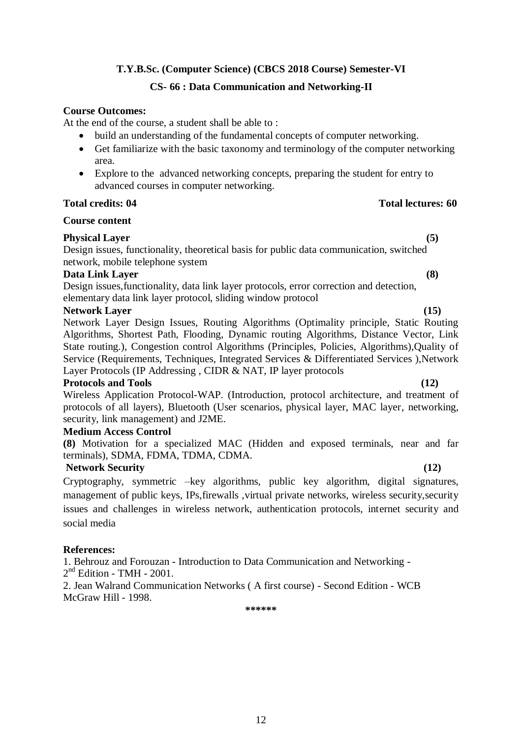#### **CS- 66 : Data Communication and Networking-II**

#### **Course Outcomes:**

At the end of the course, a student shall be able to :

- build an understanding of the fundamental concepts of computer networking.
- Get familiarize with the basic taxonomy and terminology of the computer networking area.
- Explore to the advanced networking concepts, preparing the student for entry to advanced courses in computer networking.

#### **Total credits: 04 Total lectures: 60**

#### **Course content**

**Physical Layer (5)**

Design issues, functionality, theoretical basis for public data communication, switched network, mobile telephone system

#### **Data Link Layer (8)**

Design issues,functionality, data link layer protocols, error correction and detection, elementary data link layer protocol, sliding window protocol

#### **Network Layer (15)**

Network Layer Design Issues, Routing Algorithms (Optimality principle, Static Routing Algorithms, Shortest Path, Flooding, Dynamic routing Algorithms, Distance Vector, Link State routing.), Congestion control Algorithms (Principles, Policies, Algorithms),Quality of Service (Requirements, Techniques, Integrated Services & Differentiated Services ),Network Layer Protocols (IP Addressing , CIDR & NAT, IP layer protocols

#### Protocols and Tools (12)

Wireless Application Protocol-WAP. (Introduction, protocol architecture, and treatment of protocols of all layers), Bluetooth (User scenarios, physical layer, MAC layer, networking, security, link management) and J2ME.

#### **Medium Access Control**

**(8)** Motivation for a specialized MAC (Hidden and exposed terminals, near and far terminals), SDMA, FDMA, TDMA, CDMA.

### **Network Security (12)**

Cryptography, symmetric –key algorithms, public key algorithm, digital signatures, management of public keys, IPs,firewalls ,virtual private networks, wireless security,security issues and challenges in wireless network, authentication protocols, internet security and social media

#### **References:**

1. Behrouz and Forouzan - Introduction to Data Communication and Networking -  $2<sup>nd</sup>$  Edition - TMH - 2001.

2. Jean Walrand Communication Networks ( A first course) - Second Edition - WCB McGraw Hill - 1998.

**\*\*\*\*\*\***

12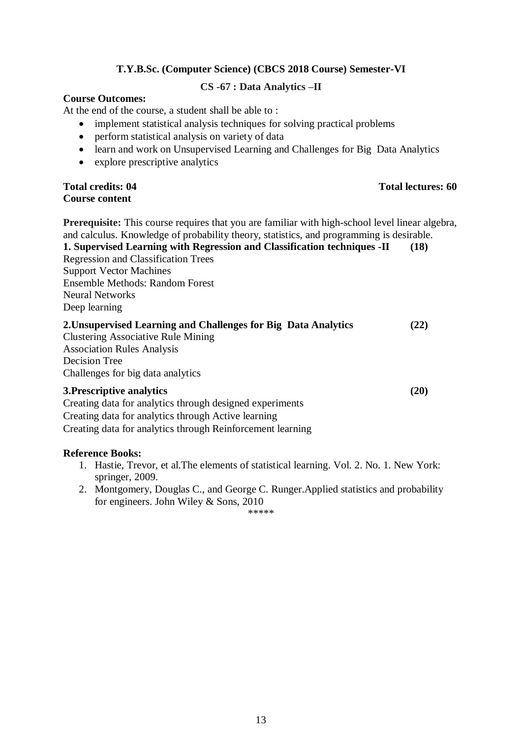#### **CS -67 : Data Analytics –II**

#### **Course Outcomes:**

At the end of the course, a student shall be able to :

- implement statistical analysis techniques for solving practical problems
- perform statistical analysis on variety of data
- learn and work on Unsupervised Learning and Challenges for Big Data Analytics
- explore prescriptive analytics

# **Course content**

**Total credits: 04** Total lectures: 60

**Prerequisite:** This course requires that you are familiar with high-school level linear algebra, and calculus. Knowledge of probability theory, statistics, and programming is desirable. **1. Supervised Learning with Regression and Classification techniques -II (18)** Regression and Classification Trees Support Vector Machines Ensemble Methods: Random Forest Neural Networks Deep learning

| 2. Unsupervised Learning and Challenges for Big Data Analytics<br><b>Clustering Associative Rule Mining</b><br><b>Association Rules Analysis</b><br>Decision Tree<br>Challenges for big data analytics     | (22) |
|------------------------------------------------------------------------------------------------------------------------------------------------------------------------------------------------------------|------|
| 3. Prescriptive analytics<br>Creating data for analytics through designed experiments<br>Creating data for analytics through Active learning<br>Creating data for analytics through Reinforcement learning | (20) |

#### **Reference Books:**

- 1. Hastie, Trevor, et al.The elements of statistical learning. Vol. 2. No. 1. New York: springer, 2009.
- 2. Montgomery, Douglas C., and George C. Runger.Applied statistics and probability for engineers. John Wiley & Sons, 2010